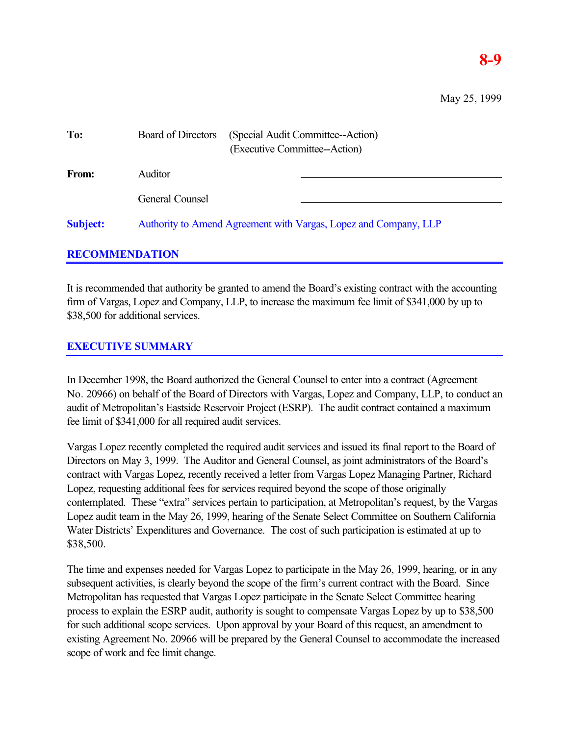## **8-9**

May 25, 1999

| To:             | <b>Board of Directors</b>                                        | (Special Audit Committee--Action)<br>(Executive Committee--Action) |
|-----------------|------------------------------------------------------------------|--------------------------------------------------------------------|
| From:           | <b>Auditor</b>                                                   |                                                                    |
|                 | General Counsel                                                  |                                                                    |
| <b>Subject:</b> | Authority to Amend Agreement with Vargas, Lopez and Company, LLP |                                                                    |

## **RECOMMENDATION**

It is recommended that authority be granted to amend the Board's existing contract with the accounting firm of Vargas, Lopez and Company, LLP, to increase the maximum fee limit of \$341,000 by up to \$38,500 for additional services.

## **EXECUTIVE SUMMARY**

In December 1998, the Board authorized the General Counsel to enter into a contract (Agreement No. 20966) on behalf of the Board of Directors with Vargas, Lopez and Company, LLP, to conduct an audit of Metropolitan's Eastside Reservoir Project (ESRP). The audit contract contained a maximum fee limit of \$341,000 for all required audit services.

Vargas Lopez recently completed the required audit services and issued its final report to the Board of Directors on May 3, 1999. The Auditor and General Counsel, as joint administrators of the Board's contract with Vargas Lopez, recently received a letter from Vargas Lopez Managing Partner, Richard Lopez, requesting additional fees for services required beyond the scope of those originally contemplated. These "extra" services pertain to participation, at Metropolitan's request, by the Vargas Lopez audit team in the May 26, 1999, hearing of the Senate Select Committee on Southern California Water Districts' Expenditures and Governance. The cost of such participation is estimated at up to \$38,500.

The time and expenses needed for Vargas Lopez to participate in the May 26, 1999, hearing, or in any subsequent activities, is clearly beyond the scope of the firm's current contract with the Board. Since Metropolitan has requested that Vargas Lopez participate in the Senate Select Committee hearing process to explain the ESRP audit, authority is sought to compensate Vargas Lopez by up to \$38,500 for such additional scope services. Upon approval by your Board of this request, an amendment to existing Agreement No. 20966 will be prepared by the General Counsel to accommodate the increased scope of work and fee limit change.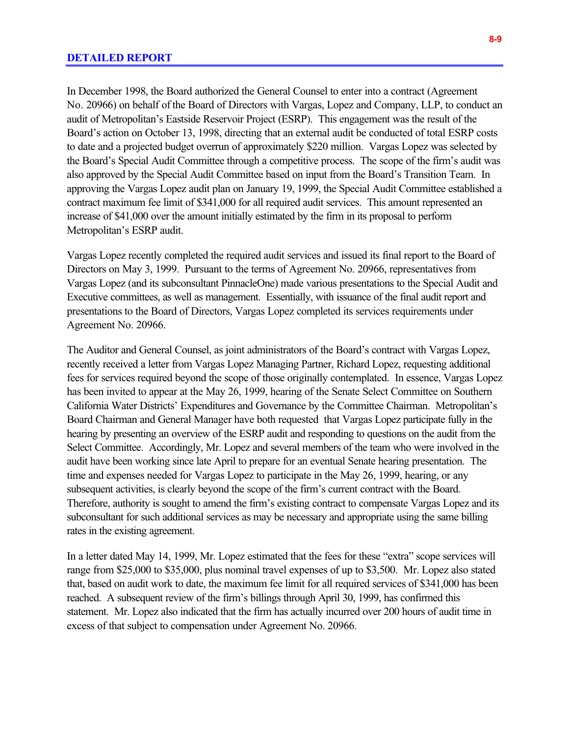In December 1998, the Board authorized the General Counsel to enter into a contract (Agreement No. 20966) on behalf of the Board of Directors with Vargas, Lopez and Company, LLP, to conduct an audit of Metropolitan's Eastside Reservoir Project (ESRP). This engagement was the result of the Board's action on October 13, 1998, directing that an external audit be conducted of total ESRP costs to date and a projected budget overrun of approximately \$220 million. Vargas Lopez was selected by the Board's Special Audit Committee through a competitive process. The scope of the firm's audit was also approved by the Special Audit Committee based on input from the Board's Transition Team. In approving the Vargas Lopez audit plan on January 19, 1999, the Special Audit Committee established a contract maximum fee limit of \$341,000 for all required audit services. This amount represented an increase of \$41,000 over the amount initially estimated by the firm in its proposal to perform Metropolitan's ESRP audit.

Vargas Lopez recently completed the required audit services and issued its final report to the Board of Directors on May 3, 1999. Pursuant to the terms of Agreement No. 20966, representatives from Vargas Lopez (and its subconsultant PinnacleOne) made various presentations to the Special Audit and Executive committees, as well as management. Essentially, with issuance of the final audit report and presentations to the Board of Directors, Vargas Lopez completed its services requirements under Agreement No. 20966.

The Auditor and General Counsel, as joint administrators of the Board's contract with Vargas Lopez, recently received a letter from Vargas Lopez Managing Partner, Richard Lopez, requesting additional fees for services required beyond the scope of those originally contemplated. In essence, Vargas Lopez has been invited to appear at the May 26, 1999, hearing of the Senate Select Committee on Southern California Water Districts' Expenditures and Governance by the Committee Chairman. Metropolitan's Board Chairman and General Manager have both requested that Vargas Lopez participate fully in the hearing by presenting an overview of the ESRP audit and responding to questions on the audit from the Select Committee. Accordingly, Mr. Lopez and several members of the team who were involved in the audit have been working since late April to prepare for an eventual Senate hearing presentation. The time and expenses needed for Vargas Lopez to participate in the May 26, 1999, hearing, or any subsequent activities, is clearly beyond the scope of the firm's current contract with the Board. Therefore, authority is sought to amend the firm's existing contract to compensate Vargas Lopez and its subconsultant for such additional services as may be necessary and appropriate using the same billing rates in the existing agreement.

In a letter dated May 14, 1999, Mr. Lopez estimated that the fees for these "extra" scope services will range from \$25,000 to \$35,000, plus nominal travel expenses of up to \$3,500. Mr. Lopez also stated that, based on audit work to date, the maximum fee limit for all required services of \$341,000 has been reached. A subsequent review of the firm's billings through April 30, 1999, has confirmed this statement. Mr. Lopez also indicated that the firm has actually incurred over 200 hours of audit time in excess of that subject to compensation under Agreement No. 20966.